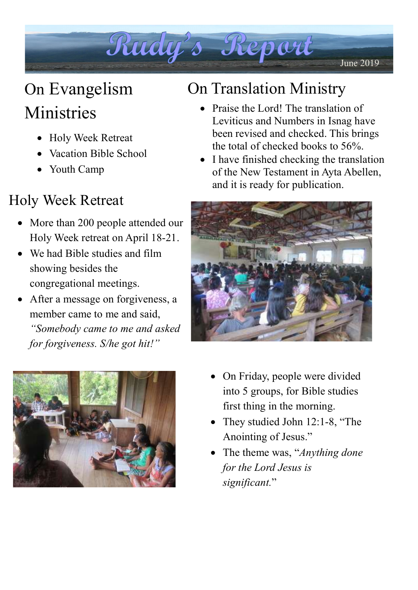

# On Evangelism Ministries

- Holy Week Retreat
- Vacation Bible School
- Youth Camp

## Holy Week Retreat

- More than 200 people attended our Holy Week retreat on April 18-21.
- We had Bible studies and film showing besides the congregational meetings.
- After a message on forgiveness, a member came to me and said, "Somebody came to me and asked for forgiveness. S/he got hit!"

## On Translation Ministry

- Praise the Lord! The translation of Leviticus and Numbers in Isnag have been revised and checked. This brings the total of checked books to 56%.
- I have finished checking the translation of the New Testament in Ayta Abellen, and it is ready for publication.





- On Friday, people were divided into 5 groups, for Bible studies first thing in the morning.
- They studied John 12:1-8, "The Anointing of Jesus."
- The theme was, "*Anything done* for the Lord Jesus is significant."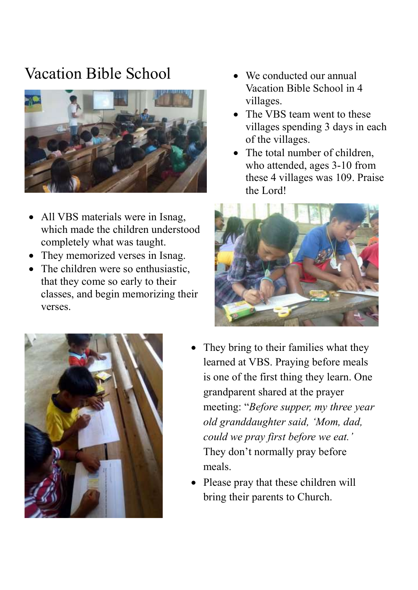#### Vacation Bible School • We conducted our annual



- All VBS materials were in Isnag, which made the children understood completely what was taught.
- They memorized verses in Isnag.
- The children were so enthusiastic. that they come so early to their classes, and begin memorizing their verses.



- Vacation Bible School in 4 villages.
- The VBS team went to these villages spending 3 days in each of the villages.
- The total number of children, who attended, ages 3-10 from these 4 villages was 109. Praise the Lord!



- They bring to their families what they learned at VBS. Praying before meals is one of the first thing they learn. One grandparent shared at the prayer meeting: "Before supper, my three year old granddaughter said, 'Mom, dad, could we pray first before we eat.' They don't normally pray before meals.
- Please pray that these children will bring their parents to Church.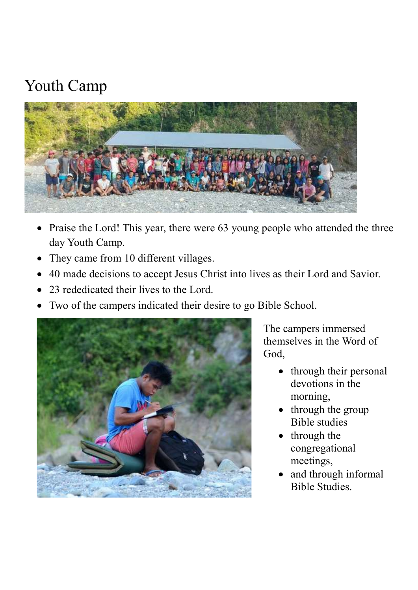## Youth Camp



- Praise the Lord! This year, there were 63 young people who attended the three day Youth Camp.
- They came from 10 different villages.
- 40 made decisions to accept Jesus Christ into lives as their Lord and Savior.
- 23 rededicated their lives to the Lord.
- Two of the campers indicated their desire to go Bible School.



The campers immersed themselves in the Word of God,

- through their personal devotions in the morning,
- through the group Bible studies
- through the congregational meetings,
- and through informal Bible Studies.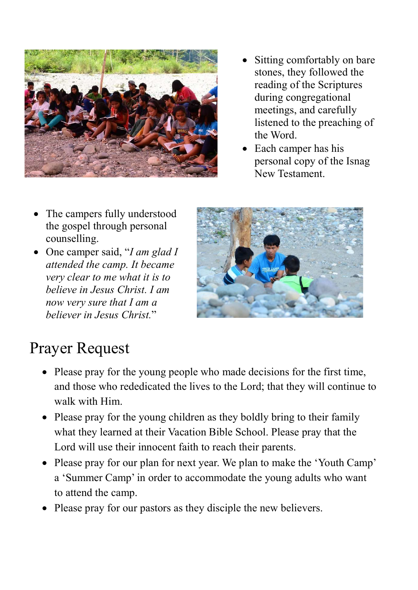

- Sitting comfortably on bare stones, they followed the reading of the Scriptures during congregational meetings, and carefully listened to the preaching of the Word.
- Each camper has his personal copy of the Isnag New Testament.

- The campers fully understood the gospel through personal counselling.
- One camper said, "I am glad I attended the camp. It became very clear to me what it is to believe in Jesus Christ. I am now very sure that I am a believer in Jesus Christ."



## Prayer Request

- Please pray for the young people who made decisions for the first time, and those who rededicated the lives to the Lord; that they will continue to walk with Him.
- Please pray for the young children as they boldly bring to their family what they learned at their Vacation Bible School. Please pray that the Lord will use their innocent faith to reach their parents.
- Please pray for our plan for next year. We plan to make the 'Youth Camp' a 'Summer Camp' in order to accommodate the young adults who want to attend the camp.
- Please pray for our pastors as they disciple the new believers.